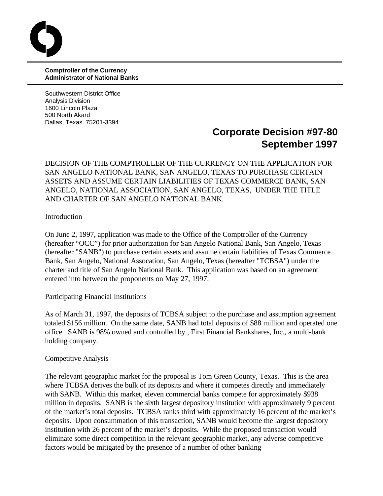**Comptroller of the Currency Administrator of National Banks**

Southwestern District Office Analysis Division 1600 Lincoln Plaza 500 North Akard Dallas, Texas 75201-3394

# **Corporate Decision #97-80 September 1997**

DECISION OF THE COMPTROLLER OF THE CURRENCY ON THE APPLICATION FOR SAN ANGELO NATIONAL BANK, SAN ANGELO, TEXAS TO PURCHASE CERTAIN ASSETS AND ASSUME CERTAIN LIABILITIES OF TEXAS COMMERCE BANK, SAN ANGELO, NATIONAL ASSOCIATION, SAN ANGELO, TEXAS, UNDER THE TITLE AND CHARTER OF SAN ANGELO NATIONAL BANK.

Introduction

On June 2, 1997, application was made to the Office of the Comptroller of the Currency (hereafter "OCC") for prior authorization for San Angelo National Bank, San Angelo, Texas (hereafter "SANB") to purchase certain assets and assume certain liabilities of Texas Commerce Bank, San Angelo, National Assocation, San Angelo, Texas (hereafter "TCBSA") under the charter and title of San Angelo National Bank. This application was based on an agreement entered into between the proponents on May 27, 1997.

Participating Financial Institutions

As of March 31, 1997, the deposits of TCBSA subject to the purchase and assumption agreement totaled \$156 million. On the same date, SANB had total deposits of \$88 million and operated one office. SANB is 98% owned and controlled by , First Financial Bankshares, Inc., a multi-bank holding company.

#### Competitive Analysis

The relevant geographic market for the proposal is Tom Green County, Texas. This is the area where TCBSA derives the bulk of its deposits and where it competes directly and immediately with SANB. Within this market, eleven commercial banks compete for approximately \$938 million in deposits. SANB is the sixth largest depository institution with approximately 9 percent of the market's total deposits. TCBSA ranks third with approximately 16 percent of the market's deposits. Upon consummation of this transaction, SANB would become the largest depository institution with 26 percent of the market's deposits. While the proposed transaction would eliminate some direct competition in the relevant geographic market, any adverse competitive factors would be mitigated by the presence of a number of other banking